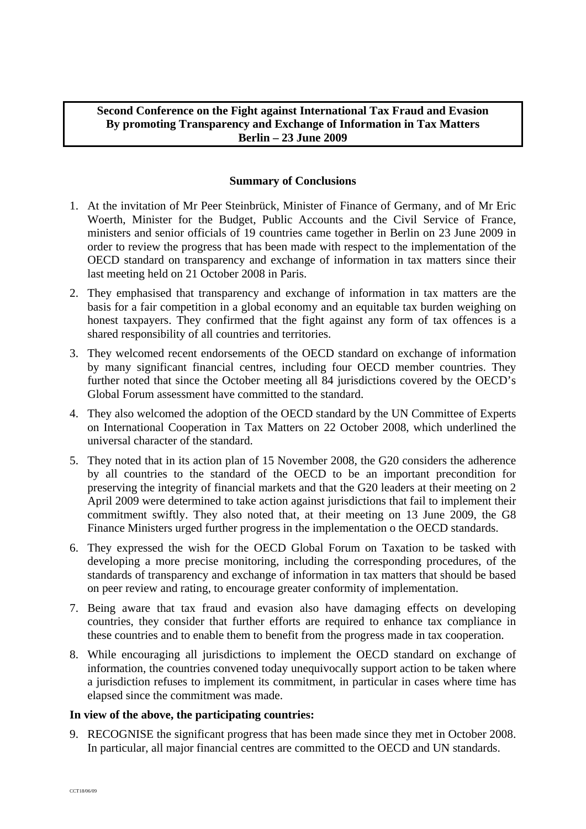## **Second Conference on the Fight against International Tax Fraud and Evasion By promoting Transparency and Exchange of Information in Tax Matters Berlin – 23 June 2009**

## **Summary of Conclusions**

- 1. At the invitation of Mr Peer Steinbrück, Minister of Finance of Germany, and of Mr Eric Woerth, Minister for the Budget, Public Accounts and the Civil Service of France, ministers and senior officials of 19 countries came together in Berlin on 23 June 2009 in order to review the progress that has been made with respect to the implementation of the OECD standard on transparency and exchange of information in tax matters since their last meeting held on 21 October 2008 in Paris.
- 2. They emphasised that transparency and exchange of information in tax matters are the basis for a fair competition in a global economy and an equitable tax burden weighing on honest taxpayers. They confirmed that the fight against any form of tax offences is a shared responsibility of all countries and territories.
- 3. They welcomed recent endorsements of the OECD standard on exchange of information by many significant financial centres, including four OECD member countries. They further noted that since the October meeting all 84 jurisdictions covered by the OECD's Global Forum assessment have committed to the standard.
- 4. They also welcomed the adoption of the OECD standard by the UN Committee of Experts on International Cooperation in Tax Matters on 22 October 2008, which underlined the universal character of the standard.
- 5. They noted that in its action plan of 15 November 2008, the G20 considers the adherence by all countries to the standard of the OECD to be an important precondition for preserving the integrity of financial markets and that the G20 leaders at their meeting on 2 April 2009 were determined to take action against jurisdictions that fail to implement their commitment swiftly. They also noted that, at their meeting on 13 June 2009, the G8 Finance Ministers urged further progress in the implementation o the OECD standards.
- 6. They expressed the wish for the OECD Global Forum on Taxation to be tasked with developing a more precise monitoring, including the corresponding procedures, of the standards of transparency and exchange of information in tax matters that should be based on peer review and rating, to encourage greater conformity of implementation.
- 7. Being aware that tax fraud and evasion also have damaging effects on developing countries, they consider that further efforts are required to enhance tax compliance in these countries and to enable them to benefit from the progress made in tax cooperation.
- 8. While encouraging all jurisdictions to implement the OECD standard on exchange of information, the countries convened today unequivocally support action to be taken where a jurisdiction refuses to implement its commitment, in particular in cases where time has elapsed since the commitment was made.

## **In view of the above, the participating countries:**

9. RECOGNISE the significant progress that has been made since they met in October 2008. In particular, all major financial centres are committed to the OECD and UN standards.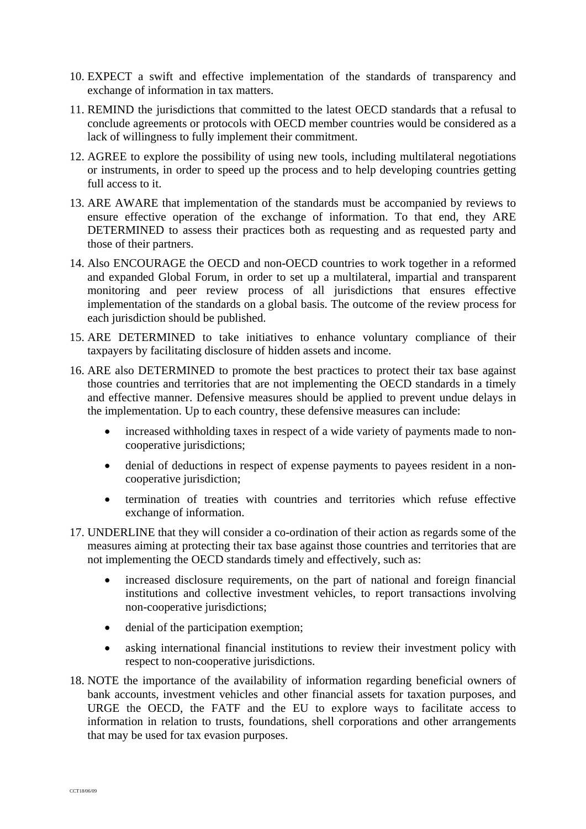- 10. EXPECT a swift and effective implementation of the standards of transparency and exchange of information in tax matters.
- 11. REMIND the jurisdictions that committed to the latest OECD standards that a refusal to conclude agreements or protocols with OECD member countries would be considered as a lack of willingness to fully implement their commitment.
- 12. AGREE to explore the possibility of using new tools, including multilateral negotiations or instruments, in order to speed up the process and to help developing countries getting full access to it.
- 13. ARE AWARE that implementation of the standards must be accompanied by reviews to ensure effective operation of the exchange of information. To that end, they ARE DETERMINED to assess their practices both as requesting and as requested party and those of their partners.
- 14. Also ENCOURAGE the OECD and non-OECD countries to work together in a reformed and expanded Global Forum, in order to set up a multilateral, impartial and transparent monitoring and peer review process of all jurisdictions that ensures effective implementation of the standards on a global basis. The outcome of the review process for each jurisdiction should be published.
- 15. ARE DETERMINED to take initiatives to enhance voluntary compliance of their taxpayers by facilitating disclosure of hidden assets and income.
- 16. ARE also DETERMINED to promote the best practices to protect their tax base against those countries and territories that are not implementing the OECD standards in a timely and effective manner. Defensive measures should be applied to prevent undue delays in the implementation. Up to each country, these defensive measures can include:
	- increased withholding taxes in respect of a wide variety of payments made to noncooperative jurisdictions;
	- denial of deductions in respect of expense payments to payees resident in a noncooperative jurisdiction;
	- termination of treaties with countries and territories which refuse effective exchange of information.
- 17. UNDERLINE that they will consider a co-ordination of their action as regards some of the measures aiming at protecting their tax base against those countries and territories that are not implementing the OECD standards timely and effectively, such as:
	- increased disclosure requirements, on the part of national and foreign financial institutions and collective investment vehicles, to report transactions involving non-cooperative jurisdictions;
	- denial of the participation exemption;
	- asking international financial institutions to review their investment policy with respect to non-cooperative jurisdictions.
- 18. NOTE the importance of the availability of information regarding beneficial owners of bank accounts, investment vehicles and other financial assets for taxation purposes, and URGE the OECD, the FATF and the EU to explore ways to facilitate access to information in relation to trusts, foundations, shell corporations and other arrangements that may be used for tax evasion purposes.